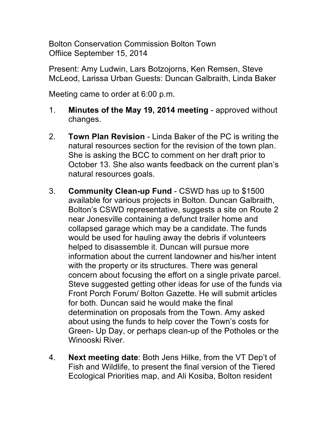Bolton Conservation Commission Bolton Town Offiice September 15, 2014

Present: Amy Ludwin, Lars Botzojorns, Ken Remsen, Steve McLeod, Larissa Urban Guests: Duncan Galbraith, Linda Baker

Meeting came to order at 6:00 p.m.

- 1. **Minutes of the May 19, 2014 meeting**  approved without changes.
- 2. **Town Plan Revision**  Linda Baker of the PC is writing the natural resources section for the revision of the town plan. She is asking the BCC to comment on her draft prior to October 13. She also wants feedback on the current plan's natural resources goals.
- 3. **Community Clean-up Fund**  CSWD has up to \$1500 available for various projects in Bolton. Duncan Galbraith, Bolton's CSWD representative, suggests a site on Route 2 near Jonesville containing a defunct trailer home and collapsed garage which may be a candidate. The funds would be used for hauling away the debris if volunteers helped to disassemble it. Duncan will pursue more information about the current landowner and his/her intent with the property or its structures. There was general concern about focusing the effort on a single private parcel. Steve suggested getting other ideas for use of the funds via Front Porch Forum/ Bolton Gazette. He will submit articles for both. Duncan said he would make the final determination on proposals from the Town. Amy asked about using the funds to help cover the Town's costs for Green- Up Day, or perhaps clean-up of the Potholes or the Winooski River.
- 4. **Next meeting date**: Both Jens Hilke, from the VT Dep't of Fish and Wildlife, to present the final version of the Tiered Ecological Priorities map, and Ali Kosiba, Bolton resident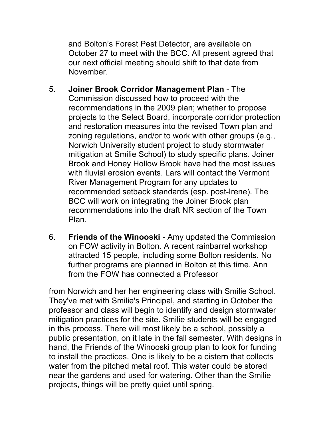and Bolton's Forest Pest Detector, are available on October 27 to meet with the BCC. All present agreed that our next official meeting should shift to that date from November.

- 5. **Joiner Brook Corridor Management Plan**  The Commission discussed how to proceed with the recommendations in the 2009 plan; whether to propose projects to the Select Board, incorporate corridor protection and restoration measures into the revised Town plan and zoning regulations, and/or to work with other groups (e.g., Norwich University student project to study stormwater mitigation at Smilie School) to study specific plans. Joiner Brook and Honey Hollow Brook have had the most issues with fluvial erosion events. Lars will contact the Vermont River Management Program for any updates to recommended setback standards (esp. post-Irene). The BCC will work on integrating the Joiner Brook plan recommendations into the draft NR section of the Town Plan.
- 6. **Friends of the Winooski**  Amy updated the Commission on FOW activity in Bolton. A recent rainbarrel workshop attracted 15 people, including some Bolton residents. No further programs are planned in Bolton at this time. Ann from the FOW has connected a Professor

from Norwich and her her engineering class with Smilie School. They've met with Smilie's Principal, and starting in October the professor and class will begin to identify and design stormwater mitigation practices for the site. Smilie students will be engaged in this process. There will most likely be a school, possibly a public presentation, on it late in the fall semester. With designs in hand, the Friends of the Winooski group plan to look for funding to install the practices. One is likely to be a cistern that collects water from the pitched metal roof. This water could be stored near the gardens and used for watering. Other than the Smilie projects, things will be pretty quiet until spring.